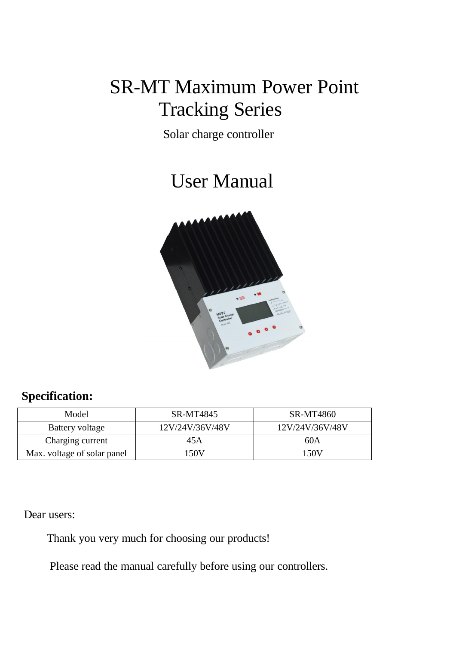# SR-MT Maximum Power Point Tracking Series

Solar charge controller

# User Manual



# **Specification:**

| Model                       | SR-MT4845       | SR-MT4860       |  |
|-----------------------------|-----------------|-----------------|--|
| Battery voltage             | 12V/24V/36V/48V | 12V/24V/36V/48V |  |
| Charging current            | 45 A            | 60A             |  |
| Max. voltage of solar panel | 150V            | 150V            |  |

Dear users:

Thank you very much for choosing our products!

Please read the manual carefully before using our controllers.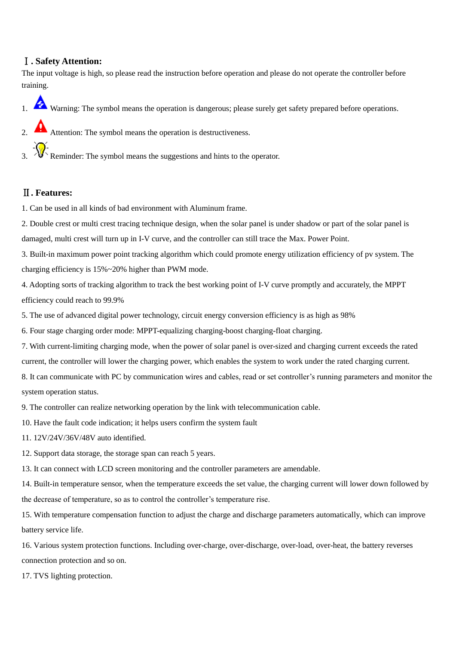#### Ⅰ**. Safety Attention:**

The input voltage is high, so please read the instruction before operation and please do not operate the controller before training.

- 1. Warning: The symbol means the operation is dangerous; please surely get safety prepared before operations.
- Attention: The symbol means the operation is destructiveness.  $\frac{1}{2}$ . Reminder: The symbol means the suggestions and hints to the operator.

#### Ⅱ**. Features:**

1. Can be used in all kinds of bad environment with Aluminum frame.

2. Double crest or multi crest tracing technique design, when the solar panel is under shadow or part of the solar panel is damaged, multi crest will turn up in I-V curve, and the controller can still trace the Max. Power Point.

3. Built-in maximum power point tracking algorithm which could promote energy utilization efficiency of pv system. The charging efficiency is 15%~20% higher than PWM mode.

4. Adopting sorts of tracking algorithm to track the best working point of I-V curve promptly and accurately, the MPPT efficiency could reach to 99.9%

5. The use of advanced digital power technology, circuit energy conversion efficiency is as high as 98%

6. Four stage charging order mode: MPPT-equalizing charging-boost charging-float charging.

7. With current-limiting charging mode, when the power of solar panel is over-sized and charging current exceeds the rated current, the controller will lower the charging power, which enables the system to work under the rated charging current.

8. It can communicate with PC by communication wires and cables, read or set controller's running parameters and monitor the system operation status.

9. The controller can realize networking operation by the link with telecommunication cable.

10. Have the fault code indication; it helps users confirm the system fault

11. 12V/24V/36V/48V auto identified.

12. Support data storage, the storage span can reach 5 years.

13. It can connect with LCD screen monitoring and the controller parameters are amendable.

14. Built-in temperature sensor, when the temperature exceeds the set value, the charging current will lower down followed by the decrease of temperature, so as to control the controller's temperature rise.

15. With temperature compensation function to adjust the charge and discharge parameters automatically, which can improve battery service life.

16. Various system protection functions. Including over-charge, over-discharge, over-load, over-heat, the battery reverses connection protection and so on.

17. TVS lighting protection.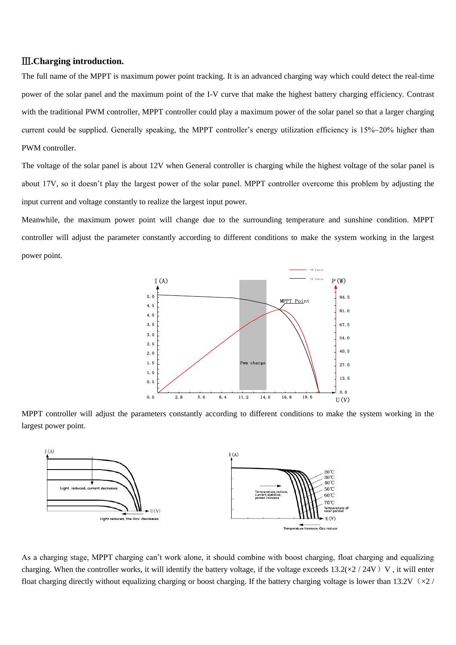#### Ⅲ**.Charging introduction.**

The full name of the MPPT is maximum power point tracking. It is an advanced charging way which could detect the real-time power of the solar panel and the maximum point of the I-V curve that make the highest battery charging efficiency. Contrast with the traditional PWM controller, MPPT controller could play a maximum power of the solar panel so that a larger charging current could be supplied. Generally speaking, the MPPT controller's energy utilization efficiency is 15%~20% higher than PWM controller.

The voltage of the solar panel is about 12V when General controller is charging while the highest voltage of the solar panel is about 17V, so it doesn't play the largest power of the solar panel. MPPT controller overcome this problem by adjusting the input current and voltage constantly to realize the largest input power.

Meanwhile, the maximum power point will change due to the surrounding temperature and sunshine condition. MPPT controller will adjust the parameter constantly according to different conditions to make the system working in the largest power point.



MPPT controller will adjust the parameters constantly according to different conditions to make the system working in the largest power point.



As a charging stage, MPPT charging can't work alone, it should combine with boost charging, float charging and equalizing charging. When the controller works, it will identify the battery voltage, if the voltage exceeds  $13.2(\times2/24V)$  V, it will enter float charging directly without equalizing charging or boost charging. If the battery charging voltage is lower than 13.2V ( $\approx$  /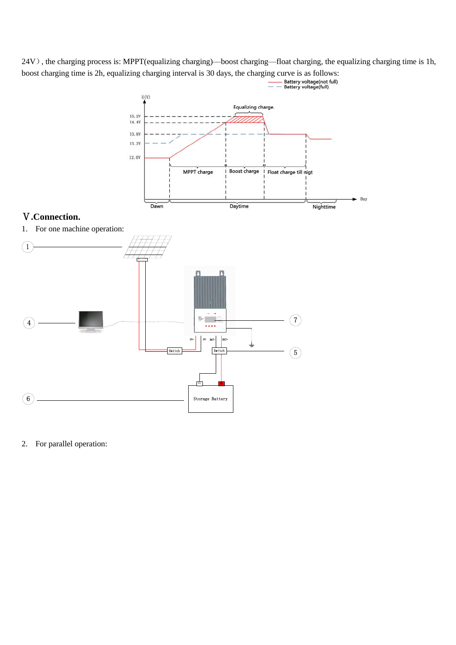24V), the charging process is: MPPT(equalizing charging)—boost charging—float charging, the equalizing charging time is 1h, boost charging time is 2h, equalizing charging interval is 30 days, the charging curve is as follows:<br>  $\frac{\text{Battery voltage}(\text{ful})}{\text{Battery voltage}(\text{full})}$ 



### Ⅴ**.Connection.**

1. For one machine operation:



2. For parallel operation: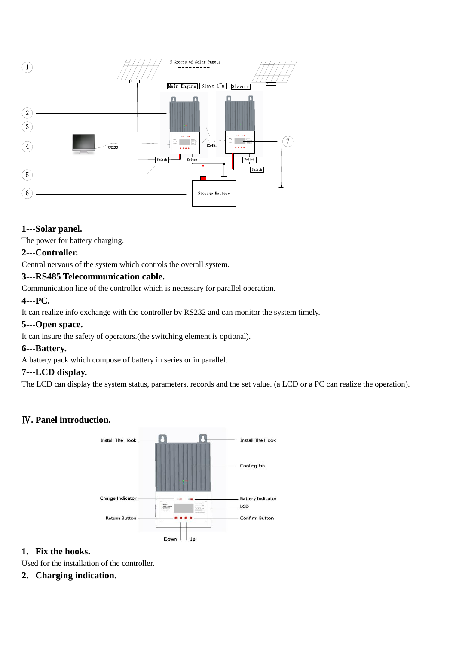

#### **1---Solar panel.**

The power for battery charging.

#### **2---Controller.**

Central nervous of the system which controls the overall system.

#### **3---RS485 Telecommunication cable.**

Communication line of the controller which is necessary for parallel operation.

#### **4---PC.**

It can realize info exchange with the controller by RS232 and can monitor the system timely.

#### **5---Open space.**

It can insure the safety of operators.(the switching element is optional).

#### **6---Battery.**

A battery pack which compose of battery in series or in parallel.

#### **7---LCD display.**

The LCD can display the system status, parameters, records and the set value. (a LCD or a PC can realize the operation).

#### Ⅳ**. Panel introduction.**



#### **1. Fix the hooks.**

Used for the installation of the controller.

#### **2. Charging indication.**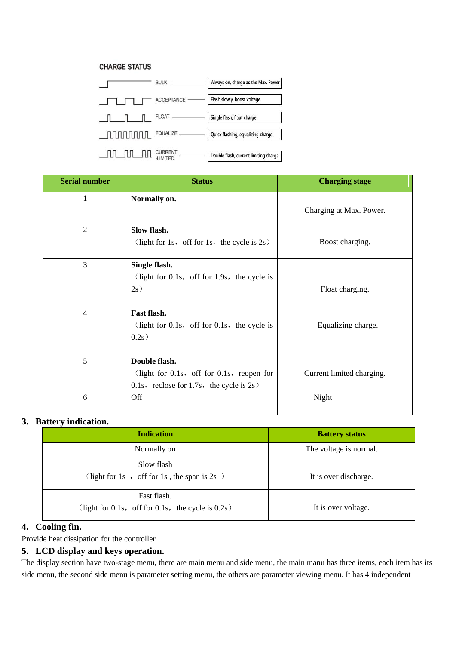#### **CHARGE STATUS**



| <b>Serial number</b> | <b>Status</b>                                     | <b>Charging stage</b>     |  |
|----------------------|---------------------------------------------------|---------------------------|--|
| 1                    | Normally on.                                      | Charging at Max. Power.   |  |
|                      |                                                   |                           |  |
| $\overline{2}$       | Slow flash.                                       |                           |  |
|                      | (light for 1s, off for 1s, the cycle is $2s$ )    | Boost charging.           |  |
| 3                    | Single flash.                                     |                           |  |
|                      | (light for 0.1s, off for 1.9s, the cycle is       |                           |  |
|                      | 2s)                                               | Float charging.           |  |
|                      |                                                   |                           |  |
| $\overline{4}$       | Fast flash.                                       |                           |  |
|                      | (light for $0.1s$ , off for $0.1s$ , the cycle is | Equalizing charge.        |  |
|                      | 0.2s)                                             |                           |  |
| 5                    | Double flash.                                     |                           |  |
|                      | (light for 0.1s, off for 0.1s, reopen for         | Current limited charging. |  |
|                      | 0.1s, reclose for 1.7s, the cycle is $2s$ )       |                           |  |
| 6                    | Off                                               | Night                     |  |
|                      |                                                   |                           |  |

#### **3. Battery indication.**

| <b>Indication</b>                                    | <b>Battery status</b>  |  |
|------------------------------------------------------|------------------------|--|
| Normally on                                          | The voltage is normal. |  |
| Slow flash                                           |                        |  |
| (light for 1s, off for 1s, the span is $2s$ )        | It is over discharge.  |  |
| Fast flash.                                          |                        |  |
| (light for 0.1s, off for 0.1s, the cycle is $0.2s$ ) | It is over voltage.    |  |

#### **4. Cooling fin.**

Provide heat dissipation for the controller.

#### **5. LCD display and keys operation.**

The display section have two-stage menu, there are main menu and side menu, the main manu has three items, each item has its side menu, the second side menu is parameter setting menu, the others are parameter viewing menu. It has 4 independent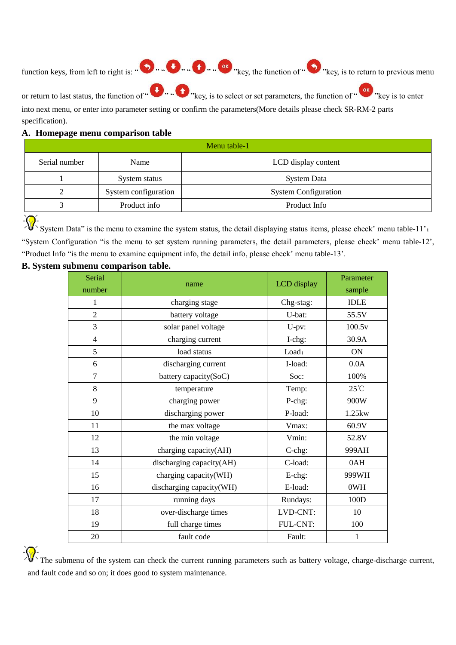function keys, from left to right is: "<br>  $\bullet$  "  $\bullet$  "  $\bullet$  "  $\bullet$  "  $\bullet$ " "key, the function of "  $\bullet$ " "key, is to return to previous menu or return to last status, the function of " " " "key, is to select or set parameters, the function of " "key is to enter

into next menu, or enter into parameter setting or confirm the parameters(More details please check SR-RM-2 parts specification).

#### **A. Homepage menu comparison table**

| Menu table-1  |                      |                             |  |
|---------------|----------------------|-----------------------------|--|
| Serial number | Name                 | LCD display content         |  |
|               | System status        | <b>System Data</b>          |  |
|               | System configuration | <b>System Configuration</b> |  |
|               | Product info         | Product Info                |  |

 $\frac{1}{\sqrt{2}}$  System Data" is the menu to examine the system status, the detail displaying status items, please check' menu table-11'; "System Configuration "is the menu to set system running parameters, the detail parameters, please check' menu table-12', "Product Info "is the menu to examine equipment info, the detail info, please check' menu table-13'.

#### **B. System submenu comparison table.**

| Serial<br>number | name                     | <b>LCD</b> display | Parameter<br>sample |
|------------------|--------------------------|--------------------|---------------------|
| 1                | charging stage           | Chg-stag:          | <b>IDLE</b>         |
| $\overline{2}$   | battery voltage          | U-bat:             | 55.5V               |
| 3                | solar panel voltage      | U-pv:              | 100.5v              |
| $\overline{4}$   | charging current         | I-chg:             | 30.9A               |
| 5                | load status              | Load:              | <b>ON</b>           |
| 6                | discharging current      | I-load:            | 0.0A                |
| $\overline{7}$   | battery capacity(SoC)    | Soc:               | 100%                |
| 8                | temperature              | Temp:              | $25^{\circ}$ C      |
| 9                | charging power           | P-chg:             | 900W                |
| 10               | discharging power        | P-load:            | 1.25kw              |
| 11               | the max voltage          | Vmax:              | 60.9V               |
| 12               | the min voltage          | Vmin:              | 52.8V               |
| 13               | charging capacity(AH)    | C-chg:             | 999AH               |
| 14               | discharging capacity(AH) | C-load:            | 0AH                 |
| 15               | charging capacity(WH)    | E-chg:             | 999WH               |
| 16               | discharging capacity(WH) | E-load:            | 0WH                 |
| 17               | running days             | Rundays:           | 100D                |
| 18               | over-discharge times     | LVD-CNT:           | 10                  |
| 19               | full charge times        | FUL-CNT:           | 100                 |
| 20               | fault code               | Fault:             | $\mathbf{1}$        |

The submenu of the system can check the current running parameters such as battery voltage, charge-discharge current, and fault code and so on; it does good to system maintenance.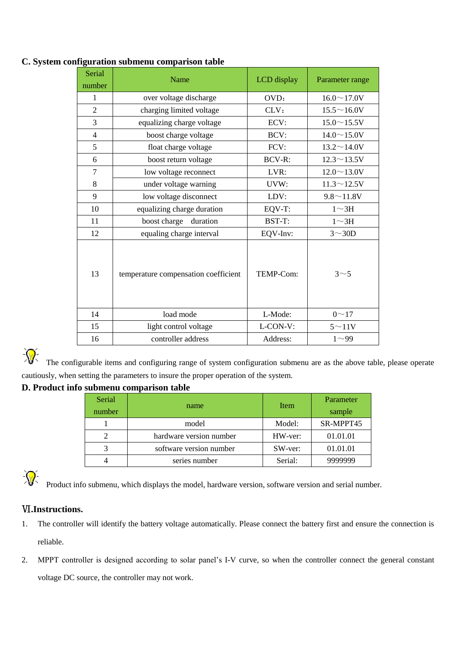| Serial<br>number                           | Name                       | LCD display   | Parameter range    |
|--------------------------------------------|----------------------------|---------------|--------------------|
| 1                                          | over voltage discharge     | OVD:          | $16.0 \sim 17.0 V$ |
| 2                                          | charging limited voltage   | CLV:          | $15.5 \sim 16.0 V$ |
| 3                                          | equalizing charge voltage  | ECV:          | $15.0 \sim 15.5 V$ |
| $\overline{4}$                             | boost charge voltage       | BCV:          | $14.0 \sim 15.0 V$ |
| 5                                          | float charge voltage       | FCV:          | $13.2 \sim 14.0 V$ |
| 6                                          | boost return voltage       | <b>BCV-R:</b> | $12.3 \sim 13.5 V$ |
| 7                                          | low voltage reconnect      | LVR:          | $12.0 \sim 13.0 V$ |
| 8                                          | under voltage warning      | UVW:          | $11.3 \sim 12.5V$  |
| 9                                          | low voltage disconnect     | LDV:          | $9.8 \sim 11.8 V$  |
| 10                                         | equalizing charge duration | EQV-T:        | $1 \sim 3H$        |
| 11                                         | boost charge<br>duration   | BST-T:        | $1 \sim 3H$        |
| 12                                         | equaling charge interval   | EQV-Inv:      | $3 \sim 30D$       |
| 13<br>temperature compensation coefficient |                            | TEMP-Com:     | 3 <sub>5</sub>     |
| 14                                         | load mode                  | L-Mode:       | $0 - 17$           |
| 15                                         | light control voltage      | L-CON-V:      | $5 \sim 11V$       |
| 16                                         | controller address         | Address:      | $1^{\sim}99$       |

#### **C. System configuration submenu comparison table**

遼

The configurable items and configuring range of system configuration submenu are as the above table, please operate cautiously, when setting the parameters to insure the proper operation of the system.

#### **D. Product info submenu comparison table**

| Serial<br>number | name                    | Item    | Parameter<br>sample |
|------------------|-------------------------|---------|---------------------|
|                  | model                   | Model:  | SR-MPPT45           |
|                  | hardware version number | HW-ver: | 01.01.01            |
|                  | software version number | SW-ver: | 01.01.01            |
|                  | series number           | Serial: | 9999999             |

涿

Product info submenu, which displays the model, hardware version, software version and serial number.

#### Ⅵ**.Instructions.**

- 1. The controller will identify the battery voltage automatically. Please connect the battery first and ensure the connection is reliable.
- 2. MPPT controller is designed according to solar panel's I-V curve, so when the controller connect the general constant voltage DC source, the controller may not work.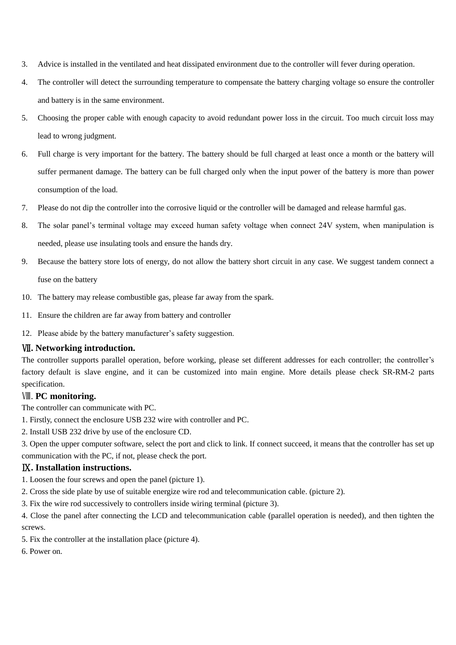- 3. Advice is installed in the ventilated and heat dissipated environment due to the controller will fever during operation.
- 4. The controller will detect the surrounding temperature to compensate the battery charging voltage so ensure the controller and battery is in the same environment.
- 5. Choosing the proper cable with enough capacity to avoid redundant power loss in the circuit. Too much circuit loss may lead to wrong judgment.
- 6. Full charge is very important for the battery. The battery should be full charged at least once a month or the battery will suffer permanent damage. The battery can be full charged only when the input power of the battery is more than power consumption of the load.
- 7. Please do not dip the controller into the corrosive liquid or the controller will be damaged and release harmful gas.
- 8. The solar panel's terminal voltage may exceed human safety voltage when connect 24V system, when manipulation is needed, please use insulating tools and ensure the hands dry.
- 9. Because the battery store lots of energy, do not allow the battery short circuit in any case. We suggest tandem connect a fuse on the battery
- 10. The battery may release combustible gas, please far away from the spark.
- 11. Ensure the children are far away from battery and controller
- 12. Please abide by the battery manufacturer's safety suggestion.

#### Ⅶ**. Networking introduction.**

The controller supports parallel operation, before working, please set different addresses for each controller; the controller's factory default is slave engine, and it can be customized into main engine. More details please check SR-RM-2 parts specification.

#### Ⅷ. **PC monitoring.**

The controller can communicate with PC.

- 1. Firstly, connect the enclosure USB 232 wire with controller and PC.
- 2. Install USB 232 drive by use of the enclosure CD.
- 3. Open the upper computer software, select the port and click to link. If connect succeed, it means that the controller has set up communication with the PC, if not, please check the port.

#### Ⅸ**. Installation instructions.**

- 1. Loosen the four screws and open the panel (picture 1).
- 2. Cross the side plate by use of suitable energize wire rod and telecommunication cable. (picture 2).
- 3. Fix the wire rod successively to controllers inside wiring terminal (picture 3).

4. Close the panel after connecting the LCD and telecommunication cable (parallel operation is needed), and then tighten the screws.

- 5. Fix the controller at the installation place (picture 4).
- 6. Power on.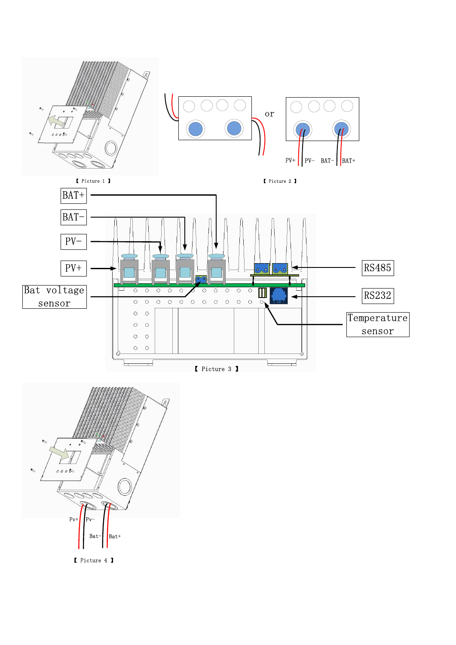

【 Picture 4 】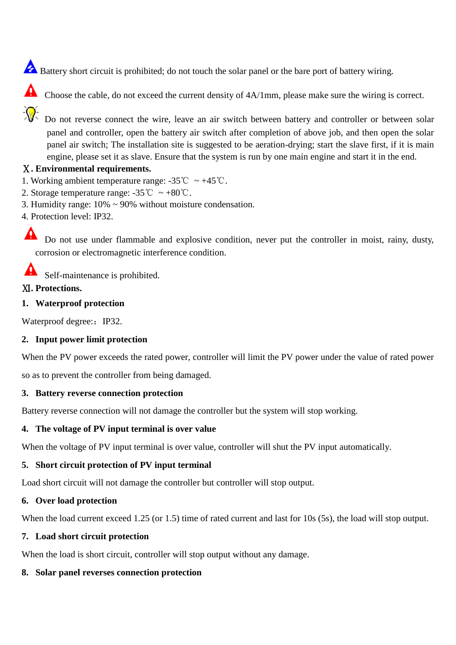- Battery short circuit is prohibited; do not touch the solar panel or the bare port of battery wiring.
- Choose the cable, do not exceed the current density of  $4A/1mm$ , please make sure the wiring is correct.
- - Do not reverse connect the wire, leave an air switch between battery and controller or between solar panel and controller, open the battery air switch after completion of above job, and then open the solar panel air switch; The installation site is suggested to be aeration-drying; start the slave first, if it is main engine, please set it as slave. Ensure that the system is run by one main engine and start it in the end.

### Ⅹ**. Environmental requirements.**

- 1. Working ambient temperature range:  $-35^{\circ}\text{C} \sim +45^{\circ}\text{C}$ .
- 2. Storage temperature range:  $-35^{\circ}\text{C} \sim +80^{\circ}\text{C}$ .
- 3. Humidity range: 10% ~ 90% without moisture condensation.
- 4. Protection level: IP32.

А Do not use under flammable and explosive condition, never put the controller in moist, rainy, dusty, corrosion or electromagnetic interference condition.

Δ Self-maintenance is prohibited.

### Ⅺ**. Protections.**

#### **1. Waterproof protection**

Waterproof degree: IP32.

### **2. Input power limit protection**

When the PV power exceeds the rated power, controller will limit the PV power under the value of rated power so as to prevent the controller from being damaged.

#### **3. Battery reverse connection protection**

Battery reverse connection will not damage the controller but the system will stop working.

### **4. The voltage of PV input terminal is over value**

When the voltage of PV input terminal is over value, controller will shut the PV input automatically.

#### **5. Short circuit protection of PV input terminal**

Load short circuit will not damage the controller but controller will stop output.

#### **6. Over load protection**

When the load current exceed 1.25 (or 1.5) time of rated current and last for 10s (5s), the load will stop output.

#### **7. Load short circuit protection**

When the load is short circuit, controller will stop output without any damage.

### **8. Solar panel reverses connection protection**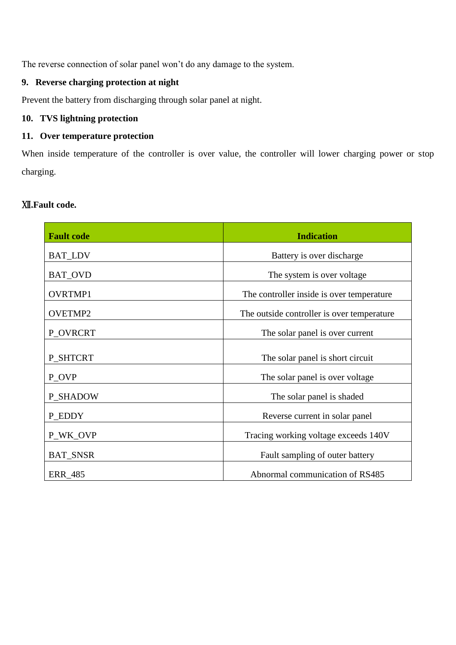The reverse connection of solar panel won't do any damage to the system.

# **9. Reverse charging protection at night**

Prevent the battery from discharging through solar panel at night.

# **10. TVS lightning protection**

#### **11. Over temperature protection**

When inside temperature of the controller is over value, the controller will lower charging power or stop charging.

#### Ⅻ**.Fault code.**

| <b>Fault code</b> | <b>Indication</b>                          |  |  |
|-------------------|--------------------------------------------|--|--|
| <b>BAT_LDV</b>    | Battery is over discharge                  |  |  |
| <b>BAT_OVD</b>    | The system is over voltage.                |  |  |
| <b>OVRTMP1</b>    | The controller inside is over temperature  |  |  |
| <b>OVETMP2</b>    | The outside controller is over temperature |  |  |
| P_OVRCRT          | The solar panel is over current            |  |  |
| P SHTCRT          | The solar panel is short circuit           |  |  |
| P_OVP             | The solar panel is over voltage            |  |  |
| <b>P_SHADOW</b>   | The solar panel is shaded                  |  |  |
| P_EDDY            | Reverse current in solar panel             |  |  |
| P_WK_OVP          | Tracing working voltage exceeds 140V       |  |  |
| <b>BAT_SNSR</b>   | Fault sampling of outer battery            |  |  |
| <b>ERR_485</b>    | Abnormal communication of RS485            |  |  |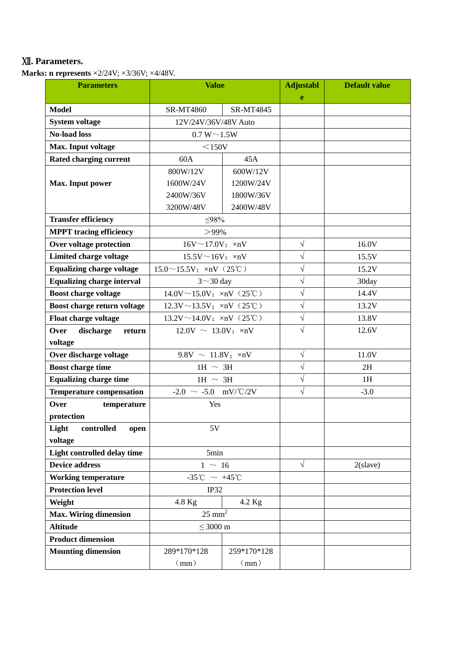# Ⅻ**. Parameters.**

**Marks: n represents** ×2/24V; ×3/36V; ×4/48V.

| <b>Parameters</b>                 | <b>Value</b>                            |                  | <b>Adjustabl</b> | <b>Default value</b> |
|-----------------------------------|-----------------------------------------|------------------|------------------|----------------------|
|                                   |                                         |                  | e                |                      |
| <b>Model</b>                      | SR-MT4860                               | <b>SR-MT4845</b> |                  |                      |
| <b>System voltage</b>             | 12V/24V/36V/48V Auto                    |                  |                  |                      |
| <b>No-load loss</b>               | $0.7 W \sim 1.5 W$                      |                  |                  |                      |
| Max. Input voltage                | $<$ 150V                                |                  |                  |                      |
| Rated charging current            | 60A                                     | 45A              |                  |                      |
|                                   | 800W/12V<br>600W/12V                    |                  |                  |                      |
| Max. Input power                  | 1600W/24V                               | 1200W/24V        |                  |                      |
|                                   | 2400W/36V                               | 1800W/36V        |                  |                      |
|                                   | 3200W/48V                               | 2400W/48V        |                  |                      |
| <b>Transfer efficiency</b>        | $\leq$ 98%                              |                  |                  |                      |
| <b>MPPT</b> tracing efficiency    | $>99\%$                                 |                  |                  |                      |
| Over voltage protection           | $16V \sim 17.0V$ ; $\times nV$          |                  | $\sqrt{ }$       | 16.0V                |
| Limited charge voltage            | $15.5V \sim 16V$ ; $\times nV$          |                  | $\sqrt{}$        | 15.5V                |
| <b>Equalizing charge voltage</b>  | $15.0^\sim 15.5V$ ; $\times nV$ (25°C)  |                  | $\sqrt{}$        | 15.2V                |
| <b>Equalizing charge interval</b> | $3 \sim 30$ day                         |                  | $\sqrt{}$        | 30day                |
| <b>Boost charge voltage</b>       | $14.0$ V ~ 15.0V; $\times nV$ (25°C)    |                  | $\sqrt{}$        | 14.4V                |
| Boost charge return voltage       | 12.3V $\sim$ 13.5V; $\times nV$ (25°C)  |                  | $\sqrt{}$        | 13.2V                |
| Float charge voltage              | $13.2V \sim 14.0V$ ; $\times nV$ (25°C) |                  | $\sqrt{ }$       | 13.8V                |
| discharge<br>Over<br>return       | $12.0V \sim 13.0V$ ; $\times nV$        |                  | $\sqrt{}$        | 12.6V                |
| voltage                           |                                         |                  |                  |                      |
| Over discharge voltage            | $9.8V \sim 11.8V$ ; xnV                 |                  | $\sqrt{ }$       | 11.0V                |
| <b>Boost charge time</b>          | 1H $\sim$ 3H                            |                  | $\sqrt{ }$       | 2H                   |
| <b>Equalizing charge time</b>     | 1H $\sim$ 3H                            |                  | $\sqrt{}$        | 1H                   |
| <b>Temperature compensation</b>   | $-2.0 \sim -5.0$ mV/°C/2V               |                  | $\sqrt{ }$       | $-3.0$               |
| Over<br>temperature               | Yes                                     |                  |                  |                      |
| protection                        |                                         |                  |                  |                      |
| Light<br>controlled<br>open       | 5V                                      |                  |                  |                      |
| voltage                           |                                         |                  |                  |                      |
| Light controlled delay time       | 5min                                    |                  |                  |                      |
| <b>Device address</b>             | $1 \sim 16$                             |                  | $\sqrt{ }$       | $2$ (slave)          |
| <b>Working temperature</b>        | $-35^{\circ}$ C ~ $+45^{\circ}$ C       |                  |                  |                      |
| <b>Protection level</b>           | IP32                                    |                  |                  |                      |
| Weight                            | $4.2$ Kg<br>$4.8$ Kg                    |                  |                  |                      |
| <b>Max. Wiring dimension</b>      | $25$ mm <sup>2</sup>                    |                  |                  |                      |
| <b>Altitude</b>                   | $\leq$ 3000 m                           |                  |                  |                      |
| <b>Product dimension</b>          |                                         |                  |                  |                      |
| <b>Mounting dimension</b>         | 289*170*128<br>259*170*128              |                  |                  |                      |
|                                   | (mm)<br>(mm)                            |                  |                  |                      |